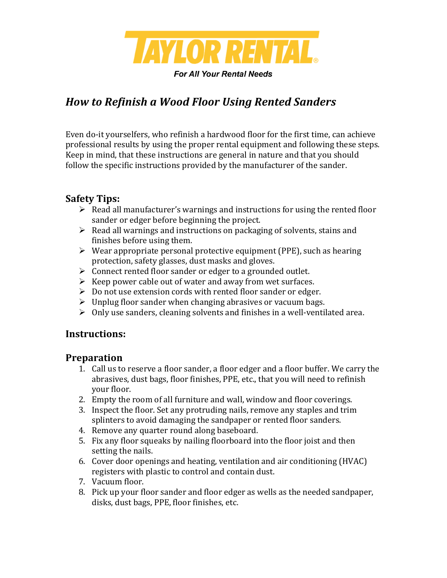

**For All Your Rental Needs** 

# *How to Refinish a Wood Floor Using Rented Sanders*

Even do-it yourselfers, who refinish a hardwood floor for the first time, can achieve professional results by using the proper rental equipment and following these steps. Keep in mind, that these instructions are general in nature and that you should follow the specific instructions provided by the manufacturer of the sander.

### **Safety Tips:**

- $\triangleright$  Read all manufacturer's warnings and instructions for using the rented floor sander or edger before beginning the project.
- $\triangleright$  Read all warnings and instructions on packaging of solvents, stains and finishes before using them.
- $\triangleright$  Wear appropriate personal protective equipment (PPE), such as hearing protection, safety glasses, dust masks and gloves.
- $\triangleright$  Connect rented floor sander or edger to a grounded outlet.
- $\triangleright$  Keep power cable out of water and away from wet surfaces.
- $\triangleright$  Do not use extension cords with rented floor sander or edger.
- $\triangleright$  Unplug floor sander when changing abrasives or vacuum bags.
- $\triangleright$  Only use sanders, cleaning solvents and finishes in a well-ventilated area.

# **Instructions:**

### **Preparation**

- 1. Call us to reserve a floor sander, a floor edger and a floor buffer. We carry the abrasives, dust bags, floor finishes, PPE, etc., that you will need to refinish your floor.
- 2. Empty the room of all furniture and wall, window and floor coverings.
- 3. Inspect the floor. Set any protruding nails, remove any staples and trim splinters to avoid damaging the sandpaper or rented floor sanders.
- 4. Remove any quarter round along baseboard.
- 5. Fix any floor squeaks by nailing floorboard into the floor joist and then setting the nails.
- 6. Cover door openings and heating, ventilation and air conditioning (HVAC) registers with plastic to control and contain dust.
- 7. Vacuum floor.
- 8. Pick up your floor sander and floor edger as wells as the needed sandpaper, disks, dust bags, PPE, floor finishes, etc.